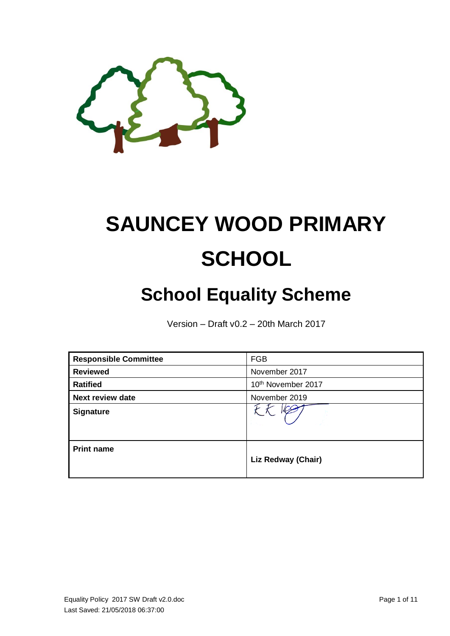

# **SAUNCEY WOOD PRIMARY SCHOOL**

# **School Equality Scheme**

Version – Draft v0.2 – 20th March 2017

| <b>Responsible Committee</b> | <b>FGB</b>         |  |
|------------------------------|--------------------|--|
| <b>Reviewed</b>              | November 2017      |  |
| <b>Ratified</b>              | 10th November 2017 |  |
| <b>Next review date</b>      | November 2019      |  |
| <b>Signature</b>             |                    |  |
| <b>Print name</b>            | Liz Redway (Chair) |  |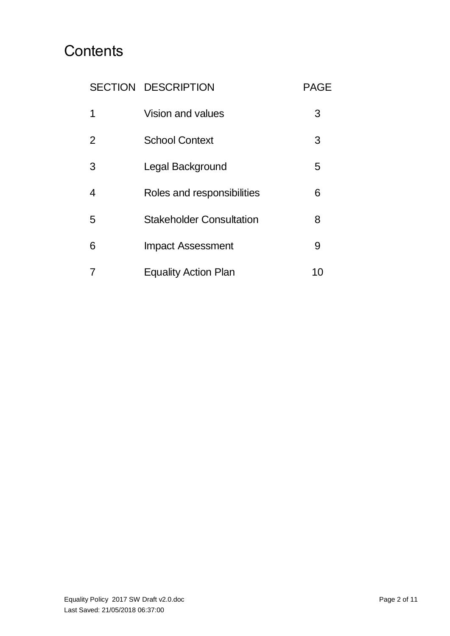### **Contents**

|   | SECTION DESCRIPTION             | <b>PAGE</b> |
|---|---------------------------------|-------------|
| 1 | Vision and values               | 3           |
| 2 | <b>School Context</b>           | 3           |
| 3 | Legal Background                | 5           |
| 4 | Roles and responsibilities      | 6           |
| 5 | <b>Stakeholder Consultation</b> | 8           |
| 6 | <b>Impact Assessment</b>        | 9           |
|   | <b>Equality Action Plan</b>     | 10          |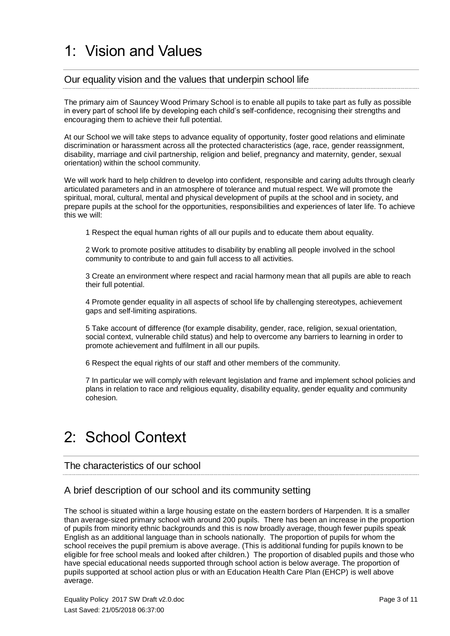### 1: Vision and Values

#### Our equality vision and the values that underpin school life

The primary aim of Sauncey Wood Primary School is to enable all pupils to take part as fully as possible in every part of school life by developing each child's self-confidence, recognising their strengths and encouraging them to achieve their full potential.

At our School we will take steps to advance equality of opportunity, foster good relations and eliminate discrimination or harassment across all the protected characteristics (age, race, gender reassignment, disability, marriage and civil partnership, religion and belief, pregnancy and maternity, gender, sexual orientation) within the school community.

We will work hard to help children to develop into confident, responsible and caring adults through clearly articulated parameters and in an atmosphere of tolerance and mutual respect. We will promote the spiritual, moral, cultural, mental and physical development of pupils at the school and in society, and prepare pupils at the school for the opportunities, responsibilities and experiences of later life. To achieve this we will:

1 Respect the equal human rights of all our pupils and to educate them about equality.

2 Work to promote positive attitudes to disability by enabling all people involved in the school community to contribute to and gain full access to all activities.

3 Create an environment where respect and racial harmony mean that all pupils are able to reach their full potential.

4 Promote gender equality in all aspects of school life by challenging stereotypes, achievement gaps and self-limiting aspirations.

5 Take account of difference (for example disability, gender, race, religion, sexual orientation, social context, vulnerable child status) and help to overcome any barriers to learning in order to promote achievement and fulfilment in all our pupils.

6 Respect the equal rights of our staff and other members of the community.

7 In particular we will comply with relevant legislation and frame and implement school policies and plans in relation to race and religious equality, disability equality, gender equality and community cohesion.

### 2: School Context

#### The characteristics of our school

#### A brief description of our school and its community setting

The school is situated within a large housing estate on the eastern borders of Harpenden. It is a smaller than average-sized primary school with around 200 pupils. There has been an increase in the proportion of pupils from minority ethnic backgrounds and this is now broadly average, though fewer pupils speak English as an additional language than in schools nationally. The proportion of pupils for whom the school receives the pupil premium is above average. (This is additional funding for pupils known to be eligible for free school meals and looked after children.) The proportion of disabled pupils and those who have special educational needs supported through school action is below average. The proportion of pupils supported at school action plus or with an Education Health Care Plan (EHCP) is well above average.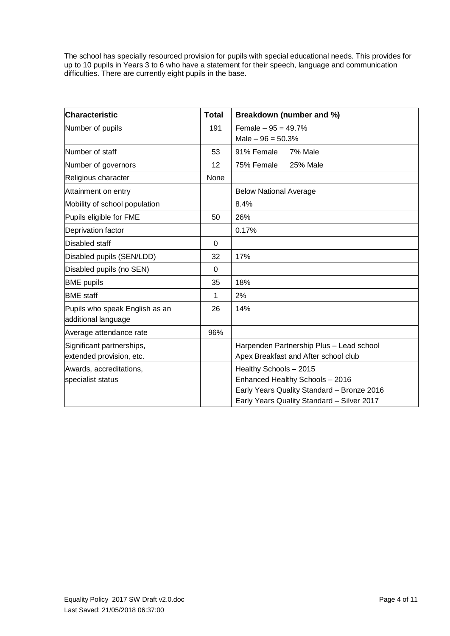The school has specially resourced provision for pupils with special educational needs. This provides for up to 10 pupils in Years 3 to 6 who have a statement for their speech, language and communication difficulties. There are currently eight pupils in the base.

| <b>Characteristic</b>                                 | <b>Total</b> | Breakdown (number and %)                                                                                                                              |
|-------------------------------------------------------|--------------|-------------------------------------------------------------------------------------------------------------------------------------------------------|
| Number of pupils                                      | 191          | Female $-95 = 49.7%$                                                                                                                                  |
|                                                       |              | Male $-96 = 50.3%$                                                                                                                                    |
| Number of staff                                       | 53           | 91% Female<br>7% Male                                                                                                                                 |
| Number of governors                                   | 12           | 75% Female<br><b>25% Male</b>                                                                                                                         |
| Religious character                                   | None         |                                                                                                                                                       |
| Attainment on entry                                   |              | <b>Below National Average</b>                                                                                                                         |
| Mobility of school population                         |              | 8.4%                                                                                                                                                  |
| Pupils eligible for FME                               | 50           | 26%                                                                                                                                                   |
| Deprivation factor                                    |              | 0.17%                                                                                                                                                 |
| Disabled staff                                        | $\mathbf 0$  |                                                                                                                                                       |
| Disabled pupils (SEN/LDD)                             | 32           | 17%                                                                                                                                                   |
| Disabled pupils (no SEN)                              | $\Omega$     |                                                                                                                                                       |
| <b>BME</b> pupils                                     | 35           | 18%                                                                                                                                                   |
| <b>BME</b> staff                                      | 1            | 2%                                                                                                                                                    |
| Pupils who speak English as an<br>additional language | 26           | 14%                                                                                                                                                   |
| Average attendance rate                               | 96%          |                                                                                                                                                       |
| Significant partnerships,<br>extended provision, etc. |              | Harpenden Partnership Plus - Lead school<br>Apex Breakfast and After school club                                                                      |
| Awards, accreditations,<br>specialist status          |              | Healthy Schools - 2015<br>Enhanced Healthy Schools - 2016<br>Early Years Quality Standard - Bronze 2016<br>Early Years Quality Standard - Silver 2017 |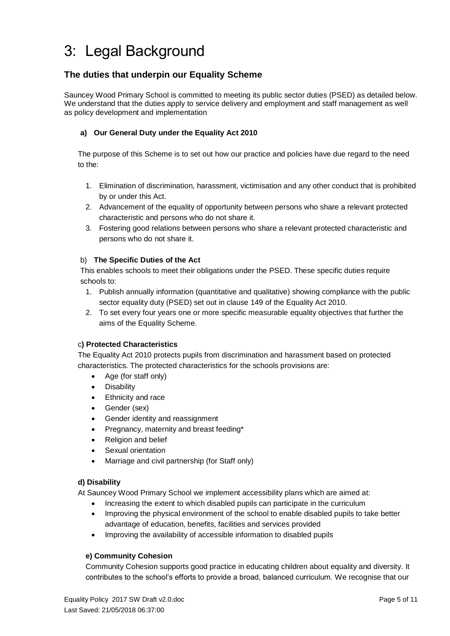### 3: Legal Background

#### **The duties that underpin our Equality Scheme**

Sauncey Wood Primary School is committed to meeting its public sector duties (PSED) as detailed below. We understand that the duties apply to service delivery and employment and staff management as well as policy development and implementation

#### **a) Our General Duty under the Equality Act 2010**

The purpose of this Scheme is to set out how our practice and policies have due regard to the need to the:

- 1. Elimination of discrimination, harassment, victimisation and any other conduct that is prohibited by or under this Act.
- 2. Advancement of the equality of opportunity between persons who share a relevant protected characteristic and persons who do not share it.
- 3. Fostering good relations between persons who share a relevant protected characteristic and persons who do not share it.

#### b) **The Specific Duties of the Act**

This enables schools to meet their obligations under the PSED. These specific duties require schools to:

- 1. Publish annually information (quantitative and qualitative) showing compliance with the public sector equality duty (PSED) set out in clause 149 of the Equality Act 2010.
- 2. To set every four years one or more specific measurable equality objectives that further the aims of the Equality Scheme.

#### c**) Protected Characteristics**

The Equality Act 2010 protects pupils from discrimination and harassment based on protected characteristics. The protected characteristics for the schools provisions are:

- Age (for staff only)
- Disability
- Ethnicity and race
- Gender (sex)
- Gender identity and reassignment
- Pregnancy, maternity and breast feeding\*
- Religion and belief
- **Sexual orientation**
- Marriage and civil partnership (for Staff only)

#### **d) Disability**

At Sauncey Wood Primary School we implement accessibility plans which are aimed at:

- Increasing the extent to which disabled pupils can participate in the curriculum
- Improving the physical environment of the school to enable disabled pupils to take better advantage of education, benefits, facilities and services provided
- Improving the availability of accessible information to disabled pupils

#### **e) Community Cohesion**

Community Cohesion supports good practice in educating children about equality and diversity. It contributes to the school's efforts to provide a broad, balanced curriculum. We recognise that our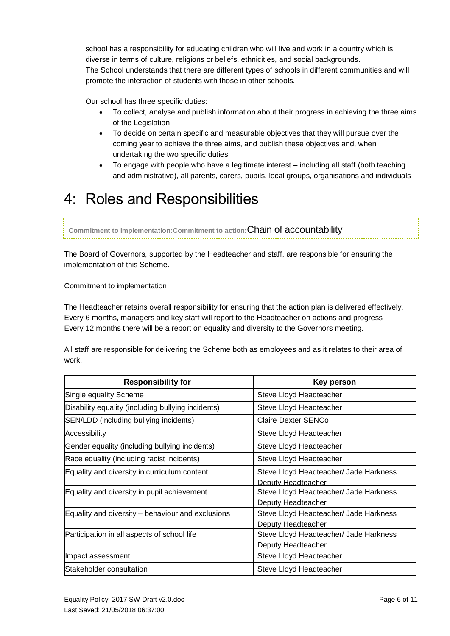school has a responsibility for educating children who will live and work in a country which is diverse in terms of culture, religions or beliefs, ethnicities, and social backgrounds. The School understands that there are different types of schools in different communities and will promote the interaction of students with those in other schools.

Our school has three specific duties:

- To collect, analyse and publish information about their progress in achieving the three aims of the Legislation
- To decide on certain specific and measurable objectives that they will pursue over the coming year to achieve the three aims, and publish these objectives and, when undertaking the two specific duties
- To engage with people who have a legitimate interest including all staff (both teaching and administrative), all parents, carers, pupils, local groups, organisations and individuals

### 4: Roles and Responsibilities

**Commitment to implementation:Commitment to action:**Chain of accountability

The Board of Governors, supported by the Headteacher and staff, are responsible for ensuring the implementation of this Scheme.

Commitment to implementation

The Headteacher retains overall responsibility for ensuring that the action plan is delivered effectively. Every 6 months, managers and key staff will report to the Headteacher on actions and progress Every 12 months there will be a report on equality and diversity to the Governors meeting.

All staff are responsible for delivering the Scheme both as employees and as it relates to their area of work.

| <b>Responsibility for</b>                          | Key person                                                   |
|----------------------------------------------------|--------------------------------------------------------------|
| Single equality Scheme                             | Steve Lloyd Headteacher                                      |
| Disability equality (including bullying incidents) | Steve Lloyd Headteacher                                      |
| SEN/LDD (including bullying incidents)             | Claire Dexter SENCo                                          |
| Accessibility                                      | Steve Lloyd Headteacher                                      |
| Gender equality (including bullying incidents)     | Steve Lloyd Headteacher                                      |
| Race equality (including racist incidents)         | Steve Lloyd Headteacher                                      |
| Equality and diversity in curriculum content       | Steve Lloyd Headteacher/ Jade Harkness<br>Deputy Headteacher |
| Equality and diversity in pupil achievement        | Steve Lloyd Headteacher/ Jade Harkness<br>Deputy Headteacher |
| Equality and diversity – behaviour and exclusions  | Steve Lloyd Headteacher/ Jade Harkness<br>Deputy Headteacher |
| Participation in all aspects of school life        | Steve Lloyd Headteacher/ Jade Harkness<br>Deputy Headteacher |
| Impact assessment                                  | Steve Lloyd Headteacher                                      |
| Stakeholder consultation                           | Steve Lloyd Headteacher                                      |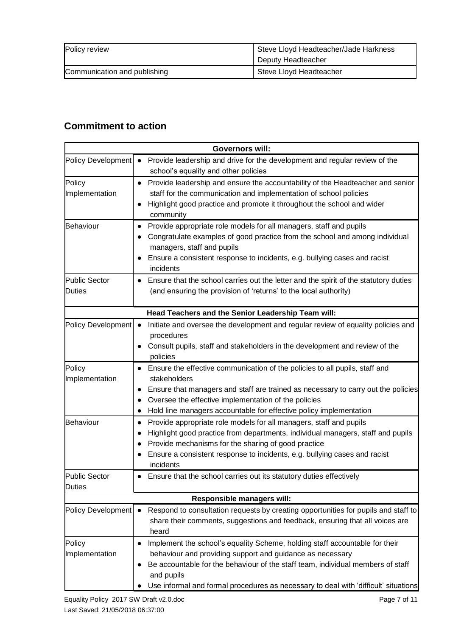| Policy review                | Steve Lloyd Headteacher/Jade Harkness<br>Deputy Headteacher |  |
|------------------------------|-------------------------------------------------------------|--|
| Communication and publishing | Steve Lloyd Headteacher                                     |  |

### **Commitment to action**

| <b>Governors will:</b>   |                                                                                                                                                                                                                                                                                                                             |  |  |  |  |
|--------------------------|-----------------------------------------------------------------------------------------------------------------------------------------------------------------------------------------------------------------------------------------------------------------------------------------------------------------------------|--|--|--|--|
| Policy Development       | Provide leadership and drive for the development and regular review of the<br>$\bullet$                                                                                                                                                                                                                                     |  |  |  |  |
|                          | school's equality and other policies                                                                                                                                                                                                                                                                                        |  |  |  |  |
| Policy<br>Implementation | Provide leadership and ensure the accountability of the Headteacher and senior<br>$\bullet$<br>staff for the communication and implementation of school policies<br>Highlight good practice and promote it throughout the school and wider<br>$\bullet$<br>community                                                        |  |  |  |  |
| <b>Behaviour</b>         | Provide appropriate role models for all managers, staff and pupils<br>$\bullet$<br>Congratulate examples of good practice from the school and among individual<br>managers, staff and pupils<br>Ensure a consistent response to incidents, e.g. bullying cases and racist<br>incidents                                      |  |  |  |  |
| <b>Public Sector</b>     | Ensure that the school carries out the letter and the spirit of the statutory duties<br>$\bullet$                                                                                                                                                                                                                           |  |  |  |  |
| <b>Duties</b>            | (and ensuring the provision of 'returns' to the local authority)                                                                                                                                                                                                                                                            |  |  |  |  |
|                          | Head Teachers and the Senior Leadership Team will:                                                                                                                                                                                                                                                                          |  |  |  |  |
| Policy Development       | Initiate and oversee the development and regular review of equality policies and<br>$\bullet$<br>procedures<br>Consult pupils, staff and stakeholders in the development and review of the<br>policies                                                                                                                      |  |  |  |  |
| Policy<br>Implementation | Ensure the effective communication of the policies to all pupils, staff and<br>stakeholders<br>Ensure that managers and staff are trained as necessary to carry out the policies<br>$\bullet$<br>Oversee the effective implementation of the policies<br>Hold line managers accountable for effective policy implementation |  |  |  |  |
| Behaviour                | Provide appropriate role models for all managers, staff and pupils<br>$\bullet$<br>Highlight good practice from departments, individual managers, staff and pupils<br>Provide mechanisms for the sharing of good practice<br>Ensure a consistent response to incidents, e.g. bullying cases and racist<br>incidents         |  |  |  |  |
| <b>Public Sector</b>     | • Ensure that the school carries out its statutory duties effectively                                                                                                                                                                                                                                                       |  |  |  |  |
| <b>Duties</b>            |                                                                                                                                                                                                                                                                                                                             |  |  |  |  |
|                          | Responsible managers will:                                                                                                                                                                                                                                                                                                  |  |  |  |  |
| Policy Development       | Respond to consultation requests by creating opportunities for pupils and staff to<br>share their comments, suggestions and feedback, ensuring that all voices are<br>heard                                                                                                                                                 |  |  |  |  |
| Policy                   | Implement the school's equality Scheme, holding staff accountable for their                                                                                                                                                                                                                                                 |  |  |  |  |
| Implementation           | behaviour and providing support and guidance as necessary                                                                                                                                                                                                                                                                   |  |  |  |  |
|                          | Be accountable for the behaviour of the staff team, individual members of staff<br>and pupils<br>Use informal and formal procedures as necessary to deal with 'difficult' situations                                                                                                                                        |  |  |  |  |
|                          |                                                                                                                                                                                                                                                                                                                             |  |  |  |  |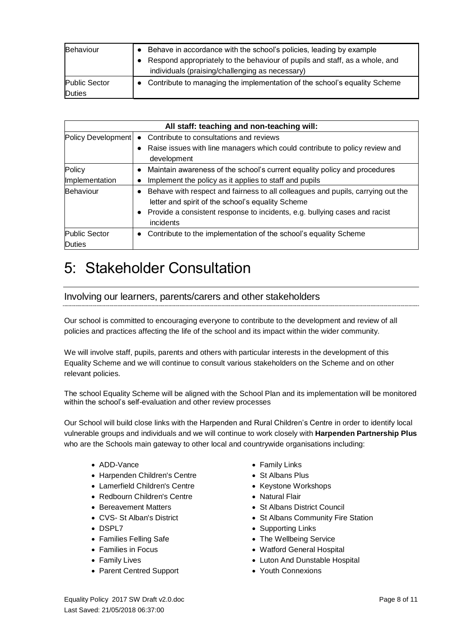| <b>Behaviour</b>                      | • Behave in accordance with the school's policies, leading by example<br>Respond appropriately to the behaviour of pupils and staff, as a whole, and<br>individuals (praising/challenging as necessary) |
|---------------------------------------|---------------------------------------------------------------------------------------------------------------------------------------------------------------------------------------------------------|
| <b>Public Sector</b><br><b>Duties</b> | • Contribute to managing the implementation of the school's equality Scheme                                                                                                                             |

| All staff: teaching and non-teaching will:                    |                                                                                 |  |  |  |  |  |
|---------------------------------------------------------------|---------------------------------------------------------------------------------|--|--|--|--|--|
| Contribute to consultations and reviews<br>Policy Development |                                                                                 |  |  |  |  |  |
|                                                               | Raise issues with line managers which could contribute to policy review and     |  |  |  |  |  |
|                                                               | development                                                                     |  |  |  |  |  |
| Policy                                                        | Maintain awareness of the school's current equality policy and procedures       |  |  |  |  |  |
| Implementation                                                | Implement the policy as it applies to staff and pupils                          |  |  |  |  |  |
| <b>Behaviour</b>                                              | Behave with respect and fairness to all colleagues and pupils, carrying out the |  |  |  |  |  |
|                                                               | letter and spirit of the school's equality Scheme                               |  |  |  |  |  |
|                                                               | Provide a consistent response to incidents, e.g. bullying cases and racist      |  |  |  |  |  |
|                                                               | incidents                                                                       |  |  |  |  |  |
| <b>Public Sector</b>                                          | Contribute to the implementation of the school's equality Scheme                |  |  |  |  |  |
| Duties                                                        |                                                                                 |  |  |  |  |  |

### 5: Stakeholder Consultation

#### Involving our learners, parents/carers and other stakeholders

Our school is committed to encouraging everyone to contribute to the development and review of all policies and practices affecting the life of the school and its impact within the wider community.

We will involve staff, pupils, parents and others with particular interests in the development of this Equality Scheme and we will continue to consult various stakeholders on the Scheme and on other relevant policies.

The school Equality Scheme will be aligned with the School Plan and its implementation will be monitored within the school's self-evaluation and other review processes

Our School will build close links with the Harpenden and Rural Children's Centre in order to identify local vulnerable groups and individuals and we will continue to work closely with **Harpenden Partnership Plus** who are the Schools main gateway to other local and countrywide organisations including:

- 
- [Harpenden Children's Centre](http://batfordearlyyearscentre.org.uk/harpenden-rural-childrens-centres/) [St Albans Plus](http://www.vistastalbans.org.uk/)
- [Lamerfield Children's Centre](https://harpendenandruralcc.org/)  **[Keystone Workshops](http://www.keystoneworkshops.co.uk/)**
- [Redbourn Children's Centre](https://harpendenandruralcc.org/) [Natural Flair](http://www.natural-flair.com/)
- 
- 
- 
- 
- 
- 
- Parent Centred Support [Youth Connexions](https://www.youthconnexions-hertfordshire.org/)
- [ADD-Vance](http://www.add-vance.org/) [Family Links](https://www.familylinks.org.uk/)
	-
	-
	-
- [Bereavement Matters](http://www.sabn.org.uk/) [St Albans District Council](http://www.stalbans.gov.uk/)
- CVS- [St Alban's District](http://www.volunteerstalbans.org.uk/) [St Albans Community Fire Station](https://beta.hertfordshire.gov.uk/services/fire-and-rescue/fire-rescue-and-being-prepared.aspx)
- [DSPL7](http://dspl7.org.uk/) [Supporting Links](http://www.supportinglinks.co.uk/)
- [Families Felling Safe](http://familiesfeelingsafe.co.uk/families/) [The Wellbeing Service](http://www.hpft.nhs.uk/services/community-services/wellbeing-service/)
- [Families in Focus](http://www.familiesinfocus.co.uk/) [Watford General Hospital](http://www.westhertshospitals.nhs.uk/about/watford_wards_departments.asp)
- [Family Lives](http://www.familylives.org.uk/) [Luton And Dunstable Hospital](http://www.nhs.uk/Services/hospitals/Overview/DefaultView.aspx?id=RC971)
	-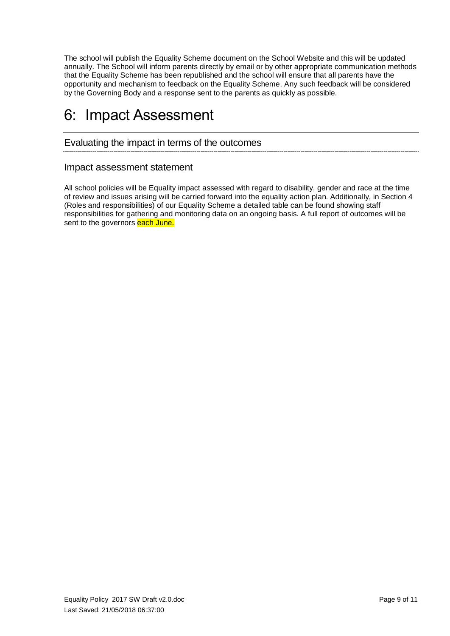The school will publish the Equality Scheme document on the School Website and this will be updated annually. The School will inform parents directly by email or by other appropriate communication methods that the Equality Scheme has been republished and the school will ensure that all parents have the opportunity and mechanism to feedback on the Equality Scheme. Any such feedback will be considered by the Governing Body and a response sent to the parents as quickly as possible.

### 6: Impact Assessment

#### Evaluating the impact in terms of the outcomes

#### Impact assessment statement

All school policies will be Equality impact assessed with regard to disability, gender and race at the time of review and issues arising will be carried forward into the equality action plan. Additionally, in Section 4 (Roles and responsibilities) of our Equality Scheme a detailed table can be found showing staff responsibilities for gathering and monitoring data on an ongoing basis. A full report of outcomes will be sent to the governors each June.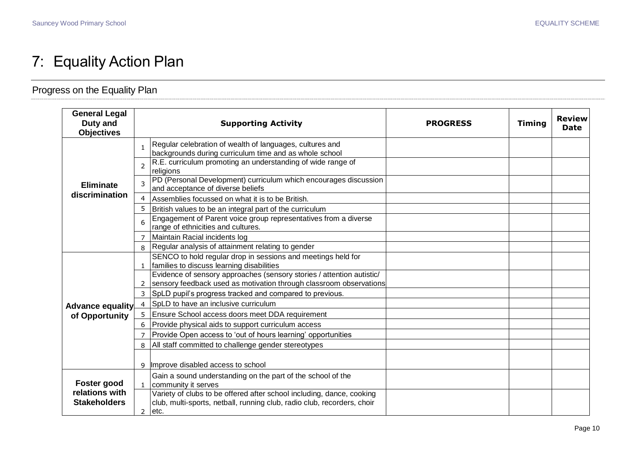## 7: Equality Action Plan

### Progress on the Equality Plan

| <b>General Legal</b><br>Duty and<br><b>Objectives</b> |                | <b>Supporting Activity</b>                                                                                                                  | <b>PROGRESS</b> | <b>Timing</b> | <b>Review</b><br><b>Date</b> |
|-------------------------------------------------------|----------------|---------------------------------------------------------------------------------------------------------------------------------------------|-----------------|---------------|------------------------------|
|                                                       | $\overline{1}$ | Regular celebration of wealth of languages, cultures and<br>backgrounds during curriculum time and as whole school                          |                 |               |                              |
|                                                       | $\overline{2}$ | R.E. curriculum promoting an understanding of wide range of<br>religions                                                                    |                 |               |                              |
| <b>Eliminate</b>                                      | 3              | PD (Personal Development) curriculum which encourages discussion<br>and acceptance of diverse beliefs                                       |                 |               |                              |
| discrimination                                        |                | Assemblies focussed on what it is to be British.                                                                                            |                 |               |                              |
|                                                       | 5              | British values to be an integral part of the curriculum                                                                                     |                 |               |                              |
|                                                       |                | Engagement of Parent voice group representatives from a diverse<br>range of ethnicities and cultures.                                       |                 |               |                              |
|                                                       | $\overline{7}$ | Maintain Racial incidents log                                                                                                               |                 |               |                              |
|                                                       | $\mathsf{R}$   | Regular analysis of attainment relating to gender                                                                                           |                 |               |                              |
|                                                       |                | SENCO to hold regular drop in sessions and meetings held for<br>families to discuss learning disabilities                                   |                 |               |                              |
|                                                       |                | Evidence of sensory approaches (sensory stories / attention autistic/<br>sensory feedback used as motivation through classroom observations |                 |               |                              |
|                                                       | 3              | SpLD pupil's progress tracked and compared to previous.                                                                                     |                 |               |                              |
| Advance equality                                      | 4              | SpLD to have an inclusive curriculum                                                                                                        |                 |               |                              |
| of Opportunity                                        | 5              | Ensure School access doors meet DDA requirement                                                                                             |                 |               |                              |
|                                                       | 6              | Provide physical aids to support curriculum access                                                                                          |                 |               |                              |
|                                                       |                | Provide Open access to 'out of hours learning' opportunities                                                                                |                 |               |                              |
|                                                       | 8              | All staff committed to challenge gender stereotypes                                                                                         |                 |               |                              |
|                                                       | 9              | Improve disabled access to school                                                                                                           |                 |               |                              |
|                                                       |                | Gain a sound understanding on the part of the school of the                                                                                 |                 |               |                              |
| Foster good                                           |                | community it serves                                                                                                                         |                 |               |                              |
| relations with                                        |                | Variety of clubs to be offered after school including, dance, cooking                                                                       |                 |               |                              |
| <b>Stakeholders</b>                                   | 2              | club, multi-sports, netball, running club, radio club, recorders, choir<br>etc.                                                             |                 |               |                              |